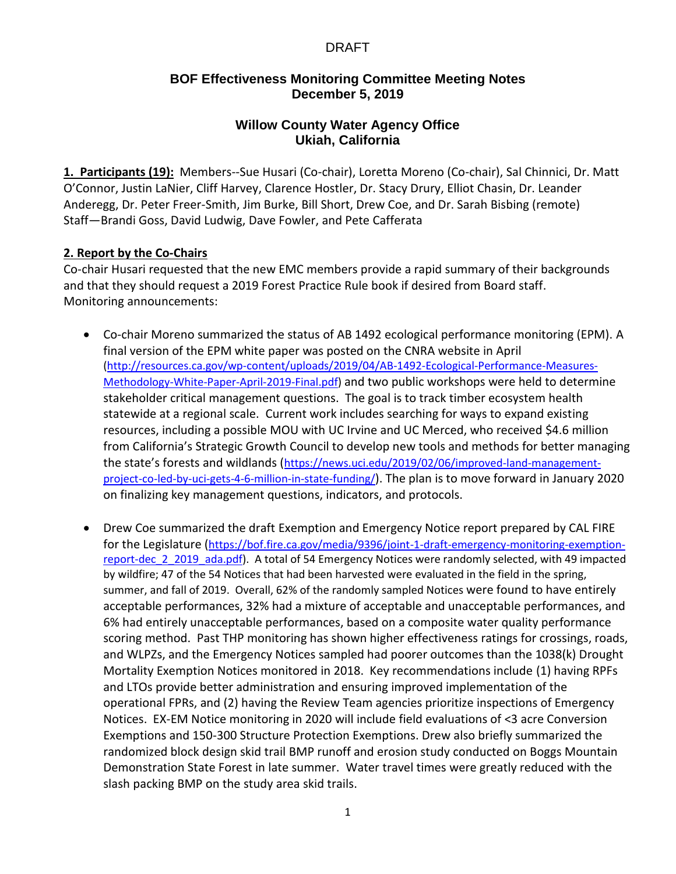## **BOF Effectiveness Monitoring Committee Meeting Notes December 5, 2019**

## **Willow County Water Agency Office Ukiah, California**

**1. Participants (19):** Members--Sue Husari (Co-chair), Loretta Moreno (Co-chair), Sal Chinnici, Dr. Matt O'Connor, Justin LaNier, Cliff Harvey, Clarence Hostler, Dr. Stacy Drury, Elliot Chasin, Dr. Leander Anderegg, Dr. Peter Freer-Smith, Jim Burke, Bill Short, Drew Coe, and Dr. Sarah Bisbing (remote) Staff—Brandi Goss, David Ludwig, Dave Fowler, and Pete Cafferata

#### **2. Report by the Co-Chairs**

Co-chair Husari requested that the new EMC members provide a rapid summary of their backgrounds and that they should request a 2019 Forest Practice Rule book if desired from Board staff. Monitoring announcements:

- Co-chair Moreno summarized the status of AB 1492 ecological performance monitoring (EPM). A final version of the EPM white paper was posted on the CNRA website in April [\(http://resources.ca.gov/wp-content/uploads/2019/04/AB-1492-Ecological-Performance-Measures-](http://resources.ca.gov/wp-content/uploads/2019/04/AB-1492-Ecological-Performance-Measures-Methodology-White-Paper-April-2019-Final.pdf)[Methodology-White-Paper-April-2019-Final.pdf\)](http://resources.ca.gov/wp-content/uploads/2019/04/AB-1492-Ecological-Performance-Measures-Methodology-White-Paper-April-2019-Final.pdf) and two public workshops were held to determine stakeholder critical management questions. The goal is to track timber ecosystem health statewide at a regional scale. Current work includes searching for ways to expand existing resources, including a possible MOU with UC Irvine and UC Merced, who received \$4.6 million from California's Strategic Growth Council to develop new tools and methods for better managing the state's forests and wildlands ([https://news.uci.edu/2019/02/06/improved-land-management](https://news.uci.edu/2019/02/06/improved-land-management-project-co-led-by-uci-gets-4-6-million-in-state-funding/)[project-co-led-by-uci-gets-4-6-million-in-state-funding/](https://news.uci.edu/2019/02/06/improved-land-management-project-co-led-by-uci-gets-4-6-million-in-state-funding/)). The plan is to move forward in January 2020 on finalizing key management questions, indicators, and protocols.
- Drew Coe summarized the draft Exemption and Emergency Notice report prepared by CAL FIRE for the Legislature ([https://bof.fire.ca.gov/media/9396/joint-1-draft-emergency-monitoring-exemption](https://bof.fire.ca.gov/media/9396/joint-1-draft-emergency-monitoring-exemption-report-dec_2_2019_ada.pdf)[report-dec\\_2\\_2019\\_ada.pdf\)](https://bof.fire.ca.gov/media/9396/joint-1-draft-emergency-monitoring-exemption-report-dec_2_2019_ada.pdf). A total of 54 Emergency Notices were randomly selected, with 49 impacted by wildfire; 47 of the 54 Notices that had been harvested were evaluated in the field in the spring, summer, and fall of 2019. Overall, 62% of the randomly sampled Notices were found to have entirely acceptable performances, 32% had a mixture of acceptable and unacceptable performances, and 6% had entirely unacceptable performances, based on a composite water quality performance scoring method. Past THP monitoring has shown higher effectiveness ratings for crossings, roads, and WLPZs, and the Emergency Notices sampled had poorer outcomes than the 1038(k) Drought Mortality Exemption Notices monitored in 2018. Key recommendations include (1) having RPFs and LTOs provide better administration and ensuring improved implementation of the operational FPRs, and (2) having the Review Team agencies prioritize inspections of Emergency Notices. EX-EM Notice monitoring in 2020 will include field evaluations of <3 acre Conversion Exemptions and 150-300 Structure Protection Exemptions. Drew also briefly summarized the randomized block design skid trail BMP runoff and erosion study conducted on Boggs Mountain Demonstration State Forest in late summer. Water travel times were greatly reduced with the slash packing BMP on the study area skid trails.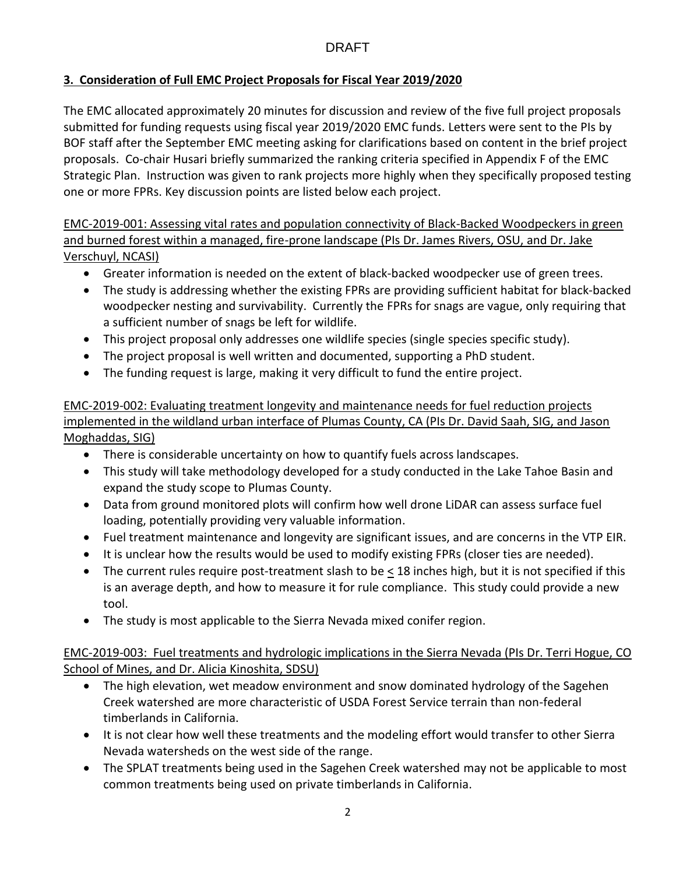# **3. Consideration of Full EMC Project Proposals for Fiscal Year 2019/2020**

The EMC allocated approximately 20 minutes for discussion and review of the five full project proposals submitted for funding requests using fiscal year 2019/2020 EMC funds. Letters were sent to the PIs by BOF staff after the September EMC meeting asking for clarifications based on content in the brief project proposals. Co-chair Husari briefly summarized the ranking criteria specified in Appendix F of the EMC Strategic Plan. Instruction was given to rank projects more highly when they specifically proposed testing one or more FPRs. Key discussion points are listed below each project.

EMC-2019-001: Assessing vital rates and population connectivity of Black-Backed Woodpeckers in green and burned forest within a managed, fire-prone landscape (PIs Dr. James Rivers, OSU, and Dr. Jake Verschuyl, NCASI)

- Greater information is needed on the extent of black-backed woodpecker use of green trees.
- The study is addressing whether the existing FPRs are providing sufficient habitat for black-backed woodpecker nesting and survivability. Currently the FPRs for snags are vague, only requiring that a sufficient number of snags be left for wildlife.
- This project proposal only addresses one wildlife species (single species specific study).
- The project proposal is well written and documented, supporting a PhD student.
- The funding request is large, making it very difficult to fund the entire project.

# EMC-2019-002: Evaluating treatment longevity and maintenance needs for fuel reduction projects implemented in the wildland urban interface of Plumas County, CA (PIs Dr. David Saah, SIG, and Jason Moghaddas, SIG)

- There is considerable uncertainty on how to quantify fuels across landscapes.
- This study will take methodology developed for a study conducted in the Lake Tahoe Basin and expand the study scope to Plumas County.
- Data from ground monitored plots will confirm how well drone LiDAR can assess surface fuel loading, potentially providing very valuable information.
- Fuel treatment maintenance and longevity are significant issues, and are concerns in the VTP EIR.
- It is unclear how the results would be used to modify existing FPRs (closer ties are needed).
- The current rules require post-treatment slash to be < 18 inches high, but it is not specified if this is an average depth, and how to measure it for rule compliance. This study could provide a new tool.
- The study is most applicable to the Sierra Nevada mixed conifer region.

# EMC-2019-003: Fuel treatments and hydrologic implications in the Sierra Nevada (PIs Dr. Terri Hogue, CO School of Mines, and Dr. Alicia Kinoshita, SDSU)

- The high elevation, wet meadow environment and snow dominated hydrology of the Sagehen Creek watershed are more characteristic of USDA Forest Service terrain than non-federal timberlands in California.
- It is not clear how well these treatments and the modeling effort would transfer to other Sierra Nevada watersheds on the west side of the range.
- The SPLAT treatments being used in the Sagehen Creek watershed may not be applicable to most common treatments being used on private timberlands in California.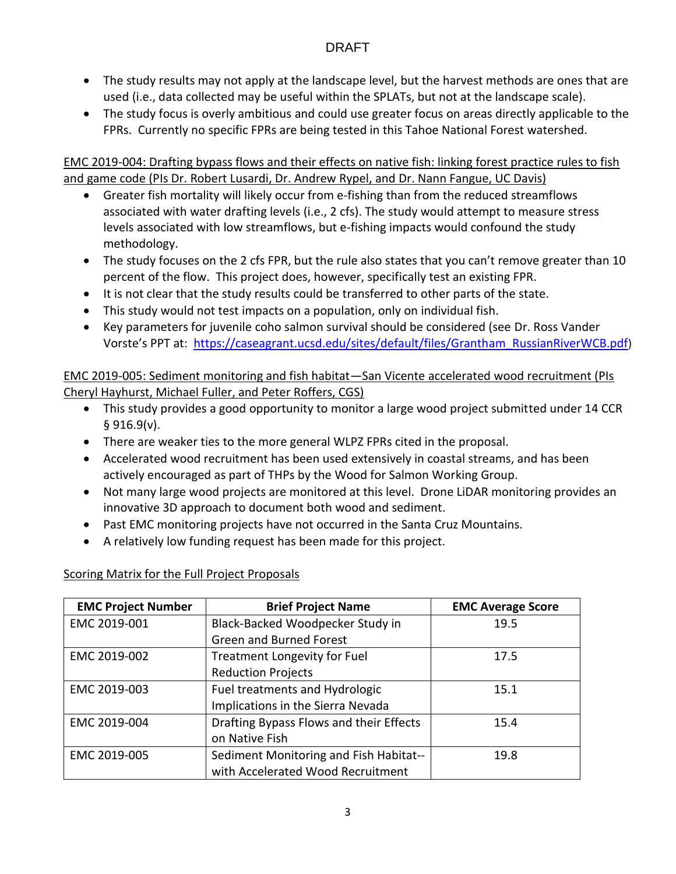- The study results may not apply at the landscape level, but the harvest methods are ones that are used (i.e., data collected may be useful within the SPLATs, but not at the landscape scale).
- The study focus is overly ambitious and could use greater focus on areas directly applicable to the FPRs. Currently no specific FPRs are being tested in this Tahoe National Forest watershed.

EMC 2019-004: Drafting bypass flows and their effects on native fish: linking forest practice rules to fish and game code (PIs Dr. Robert Lusardi, Dr. Andrew Rypel, and Dr. Nann Fangue, UC Davis)

- Greater fish mortality will likely occur from e-fishing than from the reduced streamflows associated with water drafting levels (i.e., 2 cfs). The study would attempt to measure stress levels associated with low streamflows, but e-fishing impacts would confound the study methodology.
- The study focuses on the 2 cfs FPR, but the rule also states that you can't remove greater than 10 percent of the flow. This project does, however, specifically test an existing FPR.
- It is not clear that the study results could be transferred to other parts of the state.
- This study would not test impacts on a population, only on individual fish.
- Key parameters for juvenile coho salmon survival should be considered (see Dr. Ross Vander Vorste's PPT at: [https://caseagrant.ucsd.edu/sites/default/files/Grantham\\_RussianRiverWCB.pdf](https://caseagrant.ucsd.edu/sites/default/files/Grantham_RussianRiverWCB.pdf))

EMC 2019-005: Sediment monitoring and fish habitat—San Vicente accelerated wood recruitment (PIs Cheryl Hayhurst, Michael Fuller, and Peter Roffers, CGS)

- This study provides a good opportunity to monitor a large wood project submitted under 14 CCR § 916.9(v).
- There are weaker ties to the more general WLPZ FPRs cited in the proposal.
- Accelerated wood recruitment has been used extensively in coastal streams, and has been actively encouraged as part of THPs by the Wood for Salmon Working Group.
- Not many large wood projects are monitored at this level. Drone LiDAR monitoring provides an innovative 3D approach to document both wood and sediment.
- Past EMC monitoring projects have not occurred in the Santa Cruz Mountains.
- A relatively low funding request has been made for this project.

|  |  | Scoring Matrix for the Full Project Proposals |
|--|--|-----------------------------------------------|
|  |  |                                               |

| <b>EMC Project Number</b> | <b>Brief Project Name</b>               | <b>EMC Average Score</b> |
|---------------------------|-----------------------------------------|--------------------------|
| EMC 2019-001              | Black-Backed Woodpecker Study in        | 19.5                     |
|                           | <b>Green and Burned Forest</b>          |                          |
| EMC 2019-002              | <b>Treatment Longevity for Fuel</b>     | 17.5                     |
|                           | <b>Reduction Projects</b>               |                          |
| EMC 2019-003              | Fuel treatments and Hydrologic          | 15.1                     |
|                           | Implications in the Sierra Nevada       |                          |
| EMC 2019-004              | Drafting Bypass Flows and their Effects | 15.4                     |
|                           | on Native Fish                          |                          |
| EMC 2019-005              | Sediment Monitoring and Fish Habitat--  | 19.8                     |
|                           | with Accelerated Wood Recruitment       |                          |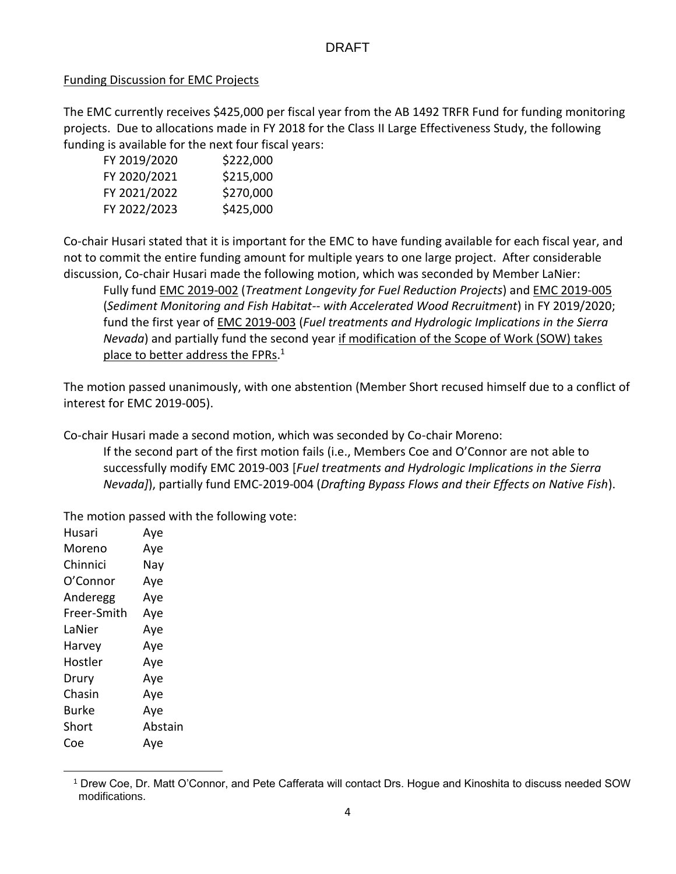#### Funding Discussion for EMC Projects

The EMC currently receives \$425,000 per fiscal year from the AB 1492 TRFR Fund for funding monitoring projects. Due to allocations made in FY 2018 for the Class II Large Effectiveness Study, the following funding is available for the next four fiscal years:

| FY 2019/2020 | \$222,000 |
|--------------|-----------|
| FY 2020/2021 | \$215,000 |
| FY 2021/2022 | \$270,000 |
| FY 2022/2023 | \$425,000 |

Co-chair Husari stated that it is important for the EMC to have funding available for each fiscal year, and not to commit the entire funding amount for multiple years to one large project. After considerable discussion, Co-chair Husari made the following motion, which was seconded by Member LaNier:

Fully fund EMC 2019-002 (*Treatment Longevity for Fuel Reduction Projects*) and EMC 2019-005 (*Sediment Monitoring and Fish Habitat-- with Accelerated Wood Recruitment*) in FY 2019/2020; fund the first year of EMC 2019-003 (*Fuel treatments and Hydrologic Implications in the Sierra Nevada*) and partially fund the second year if modification of the Scope of Work (SOW) takes place to better address the FPRs.<sup>1</sup>

The motion passed unanimously, with one abstention (Member Short recused himself due to a conflict of interest for EMC 2019-005).

Co-chair Husari made a second motion, which was seconded by Co-chair Moreno:

If the second part of the first motion fails (i.e., Members Coe and O'Connor are not able to successfully modify EMC 2019-003 [*Fuel treatments and Hydrologic Implications in the Sierra Nevada]*), partially fund EMC-2019-004 (*Drafting Bypass Flows and their Effects on Native Fish*).

The motion passed with the following vote:

| Husari      | Aye     |
|-------------|---------|
| Moreno      | Aye     |
| Chinnici    | Nay     |
| O'Connor    | Aye     |
| Anderegg    | Aye     |
| Freer-Smith | Aye     |
| LaNier      | Aye     |
| Harvey      | Aye     |
| Hostler     | Aye     |
| Drury       | Aye     |
| Chasin      | Aye     |
| Burke       | Aye     |
| Short       | Abstain |
| Coe         | Ave     |

 $\ddot{\phantom{a}}$ 

<sup>1</sup> Drew Coe, Dr. Matt O'Connor, and Pete Cafferata will contact Drs. Hogue and Kinoshita to discuss needed SOW modifications.